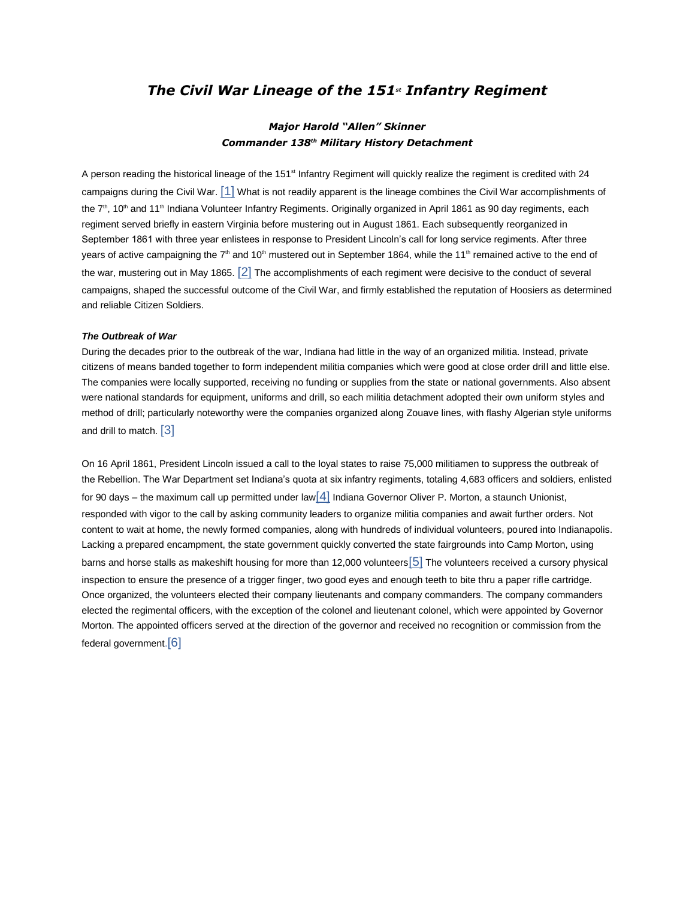# *The Civil War Lineage of the 151st Infantry Regiment*

# *Major Harold "Allen" Skinner Commander 138th Military History Detachment*

A person reading the historical lineage of the 151<sup>st</sup> Infantry Regiment will quickly realize the regiment is credited with 24 campaigns during the Civil War.  $[1]$  What is not readily apparent is the lineage combines the Civil War accomplishments of the 7<sup>th</sup>, 10<sup>th</sup> and 11<sup>th</sup> Indiana Volunteer Infantry Regiments. Originally organized in April 1861 as 90 day regiments, each regiment served briefly in eastern Virginia before mustering out in August 1861. Each subsequently reorganized in September 1861 with three year enlistees in response to President Lincoln's call for long service regiments. After three years of active campaigning the  $7<sup>th</sup>$  and 10<sup>th</sup> mustered out in September 1864, while the 11<sup>th</sup> remained active to the end of the war, mustering out in May 1865. [\[2\]](#page-9-0) The accomplishments of each regiment were decisive to the conduct of several campaigns, shaped the successful outcome of the Civil War, and firmly established the reputation of Hoosiers as determined and reliable Citizen Soldiers.

## *The Outbreak of War*

During the decades prior to the outbreak of the war, Indiana had little in the way of an organized militia. Instead, private citizens of means banded together to form independent militia companies which were good at close order drill and little else. The companies were locally supported, receiving no funding or supplies from the state or national governments. Also absent were national standards for equipment, uniforms and drill, so each militia detachment adopted their own uniform styles and method of drill; particularly noteworthy were the companies organized along Zouave lines, with flashy Algerian style uniforms and drill to match. [\[3\]](#page-9-0)

On 16 April 1861, President Lincoln issued a call to the loyal states to raise 75,000 militiamen to suppress the outbreak of the Rebellion. The War Department set Indiana's quota at six infantry regiments, totaling 4,683 officers and soldiers, enlisted for 90 days – the maximum call up permitted under law  $\left[4\right]$  Indiana Governor Oliver P. Morton, a staunch Unionist, responded with vigor to the call by asking community leaders to organize militia companies and await further orders. Not content to wait at home, the newly formed companies, along with hundreds of individual volunteers, poured into Indianapolis. Lacking a prepared encampment, the state government quickly converted the state fairgrounds into Camp Morton, using barns and horse stalls as makeshift housing for more than 12,000 volunteers[\[5\]](#page-9-0) The volunteers received a cursory physical inspection to ensure the presence of a trigger finger, two good eyes and enough teeth to bite thru a paper rifle cartridge. Once organized, the volunteers elected their company lieutenants and company commanders. The company commanders elected the regimental officers, with the exception of the colonel and lieutenant colonel, which were appointed by Governor Morton. The appointed officers served at the direction of the governor and received no recognition or commission from the federal government.[\[6\]](#page-9-1)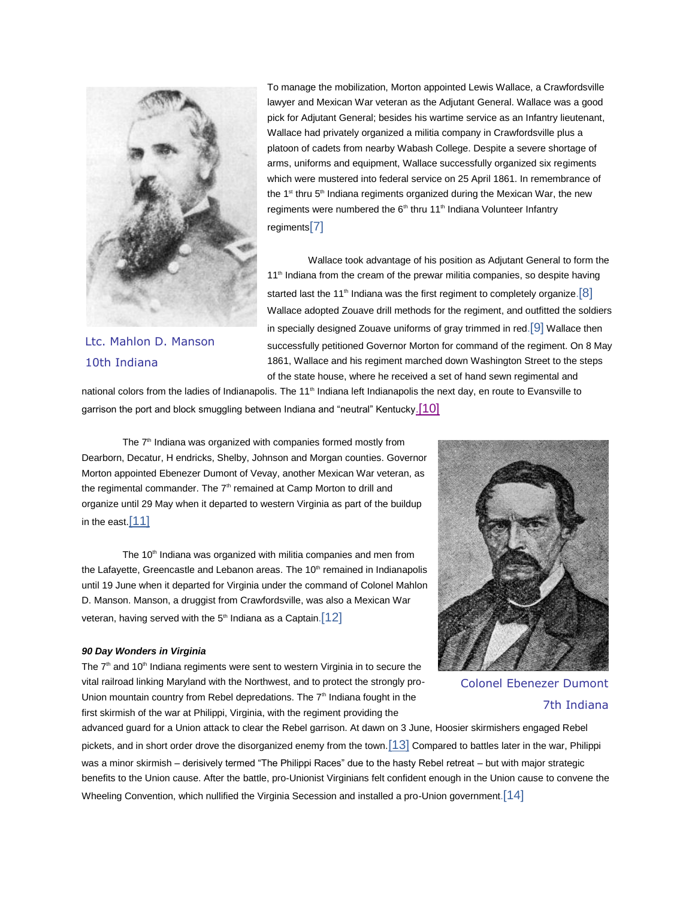

Ltc. Mahlon D. Manson 10th Indiana

To manage the mobilization, Morton appointed Lewis Wallace, a Crawfordsville lawyer and Mexican War veteran as the Adjutant General. Wallace was a good pick for Adjutant General; besides his wartime service as an Infantry lieutenant, Wallace had privately organized a militia company in Crawfordsville plus a platoon of cadets from nearby Wabash College. Despite a severe shortage of arms, uniforms and equipment, Wallace successfully organized six regiments which were mustered into federal service on 25 April 1861. In remembrance of the  $1<sup>st</sup>$  thru  $5<sup>th</sup>$  Indiana regiments organized during the Mexican War, the new regiments were numbered the  $6<sup>th</sup>$  thru 11<sup>th</sup> Indiana Volunteer Infantry regiments[\[7\]](#page-9-0)

Wallace took advantage of his position as Adjutant General to form the 11<sup>th</sup> Indiana from the cream of the prewar militia companies, so despite having started last the 11<sup>th</sup> Indiana was the first regiment to completely organize.<sup>[\[8\]](#page-9-0)</sup> Wallace adopted Zouave drill methods for the regiment, and outfitted the soldiers in specially designed Zouave uniforms of gray trimmed in red.<sup>[\[9\]](#page-9-0)</sup> Wallace then successfully petitioned Governor Morton for command of the regiment. On 8 May 1861, Wallace and his regiment marched down Washington Street to the steps of the state house, where he received a set of hand sewn regimental and

national colors from the ladies of Indianapolis. The 11<sup>th</sup> Indiana left Indianapolis the next day, en route to Evansville to garrison the port and block smuggling between Indiana and "neutral" Kentucky.[\[10\]](#page-9-1)

The  $7<sup>th</sup>$  Indiana was organized with companies formed mostly from Dearborn, Decatur, H endricks, Shelby, Johnson and Morgan counties. Governor Morton appointed Ebenezer Dumont of Vevay, another Mexican War veteran, as the regimental commander. The  $7<sup>th</sup>$  remained at Camp Morton to drill and organize until 29 May when it departed to western Virginia as part of the buildup in the east.[\[11\]](#page-9-1)

The 10<sup>th</sup> Indiana was organized with militia companies and men from the Lafayette, Greencastle and Lebanon areas. The 10<sup>th</sup> remained in Indianapolis until 19 June when it departed for Virginia under the command of Colonel Mahlon D. Manson. Manson, a druggist from Crawfordsville, was also a Mexican War veteran, having served with the  $5<sup>th</sup>$  Indiana as a Captain. [\[12\]](#page-9-1)

## *90 Day Wonders in Virginia*

The  $7<sup>th</sup>$  and 10<sup>th</sup> Indiana regiments were sent to western Virginia in to secure the vital railroad linking Maryland with the Northwest, and to protect the strongly pro-Union mountain country from Rebel depredations. The 7<sup>th</sup> Indiana fought in the first skirmish of the war at Philippi, Virginia, with the regiment providing the



Colonel Ebenezer Dumont 7th Indiana

advanced guard for a Union attack to clear the Rebel garrison. At dawn on 3 June, Hoosier skirmishers engaged Rebel pickets, and in short order drove the disorganized enemy from the town.[\[13\]](#page-9-1) Compared to battles later in the war, Philippi was a minor skirmish – derisively termed "The Philippi Races" due to the hasty Rebel retreat – but with major strategic benefits to the Union cause. After the battle, pro-Unionist Virginians felt confident enough in the Union cause to convene the Wheeling Convention, which nullified the Virginia Secession and installed a pro-Union government. [\[14\]](#page-9-1)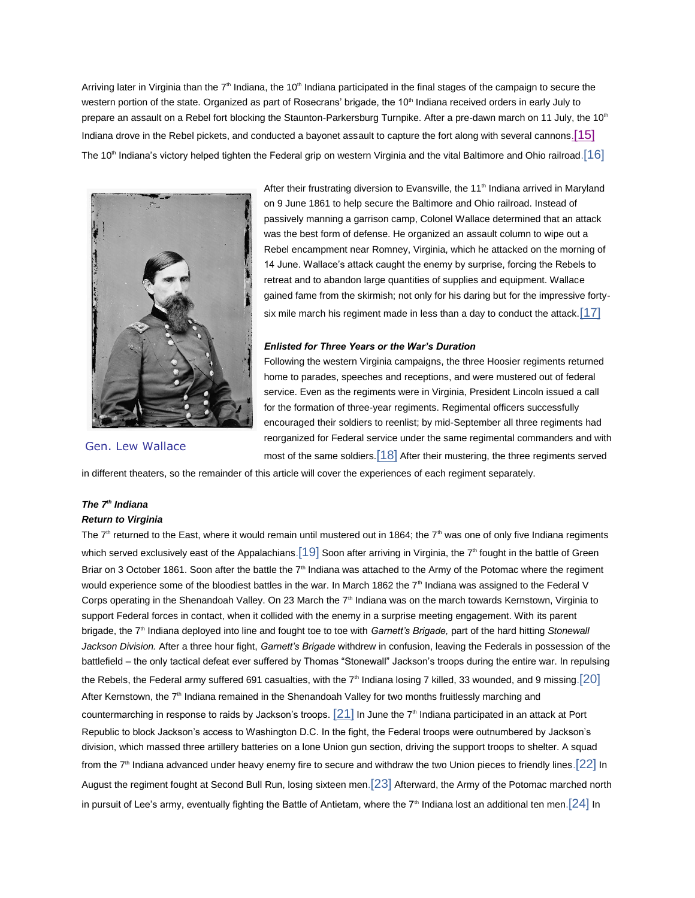Arriving later in Virginia than the  $7<sup>th</sup>$  Indiana, the 10<sup>th</sup> Indiana participated in the final stages of the campaign to secure the western portion of the state. Organized as part of Rosecrans' brigade, the 10<sup>th</sup> Indiana received orders in early July to prepare an assault on a Rebel fort blocking the Staunton-Parkersburg Turnpike. After a pre-dawn march on 11 July, the 10<sup>th</sup> Indiana drove in the Rebel pickets, and conducted a bayonet assault to capture the fort along with several cannons.<sup>[\[15\]](#page-9-1)</sup> The 10<sup>th</sup> Indiana's victory helped tighten the Federal grip on western Virginia and the vital Baltimore and Ohio railroad.  $[16]$ 



After their frustrating diversion to Evansville, the 11<sup>th</sup> Indiana arrived in Maryland on 9 June 1861 to help secure the Baltimore and Ohio railroad. Instead of passively manning a garrison camp, Colonel Wallace determined that an attack was the best form of defense. He organized an assault column to wipe out a Rebel encampment near Romney, Virginia, which he attacked on the morning of 14 June. Wallace's attack caught the enemy by surprise, forcing the Rebels to retreat and to abandon large quantities of supplies and equipment. Wallace gained fame from the skirmish; not only for his daring but for the impressive fortysix mile march his regiment made in less than a day to conduct the attack.  $[17]$ 

## *Enlisted for Three Years or the War's Duration*

Following the western Virginia campaigns, the three Hoosier regiments returned home to parades, speeches and receptions, and were mustered out of federal service. Even as the regiments were in Virginia, President Lincoln issued a call for the formation of three-year regiments. Regimental officers successfully encouraged their soldiers to reenlist; by mid-September all three regiments had reorganized for Federal service under the same regimental commanders and with most of the same soldiers. $[18]$  After their mustering, the three regiments served

Gen. Lew Wallace

in different theaters, so the remainder of this article will cover the experiences of each regiment separately.

# *The 7th Indiana*

## *Return to Virginia*

The  $7<sup>th</sup>$  returned to the East, where it would remain until mustered out in 1864; the  $7<sup>th</sup>$  was one of only five Indiana regiments which served exclusively east of the Appalachians. [\[19\]](#page-9-1) Soon after arriving in Virginia, the  $7<sup>th</sup>$  fought in the battle of Green Briar on 3 October 1861. Soon after the battle the  $7<sup>th</sup>$  Indiana was attached to the Army of the Potomac where the regiment would experience some of the bloodiest battles in the war. In March 1862 the 7<sup>th</sup> Indiana was assigned to the Federal V Corps operating in the Shenandoah Valley. On 23 March the  $7<sup>th</sup>$  Indiana was on the march towards Kernstown, Virginia to support Federal forces in contact, when it collided with the enemy in a surprise meeting engagement. With its parent brigade, the 7th Indiana deployed into line and fought toe to toe with *Garnett's Brigade,* part of the hard hitting *Stonewall Jackson Division.* After a three hour fight, *Garnett's Brigade* withdrew in confusion, leaving the Federals in possession of the battlefield – the only tactical defeat ever suffered by Thomas "Stonewall" Jackson's troops during the entire war. In repulsing the Rebels, the Federal army suffered 691 casualties, with the  $7<sup>th</sup>$  Indiana losing 7 killed, 33 wounded, and 9 missing.  $[20]$ After Kernstown, the  $7<sup>th</sup>$  Indiana remained in the Shenandoah Valley for two months fruitlessly marching and countermarching in response to raids by Jackson's troops.  $[21]$  In June the 7<sup>th</sup> Indiana participated in an attack at Port Republic to block Jackson's access to Washington D.C. In the fight, the Federal troops were outnumbered by Jackson's division, which massed three artillery batteries on a lone Union gun section, driving the support troops to shelter. A squad from the  $7<sup>th</sup>$  Indiana advanced under heavy enemy fire to secure and withdraw the two Union pieces to friendly lines. [\[22\]](#page-9-2) In August the regiment fought at Second Bull Run, losing sixteen men.[\[23\]](#page-9-2) Afterward, the Army of the Potomac marched north in pursuit of Lee's army, eventually fighting the Battle of Antietam, where the  $7<sup>th</sup>$  Indiana lost an additional ten men.  $[24]$  In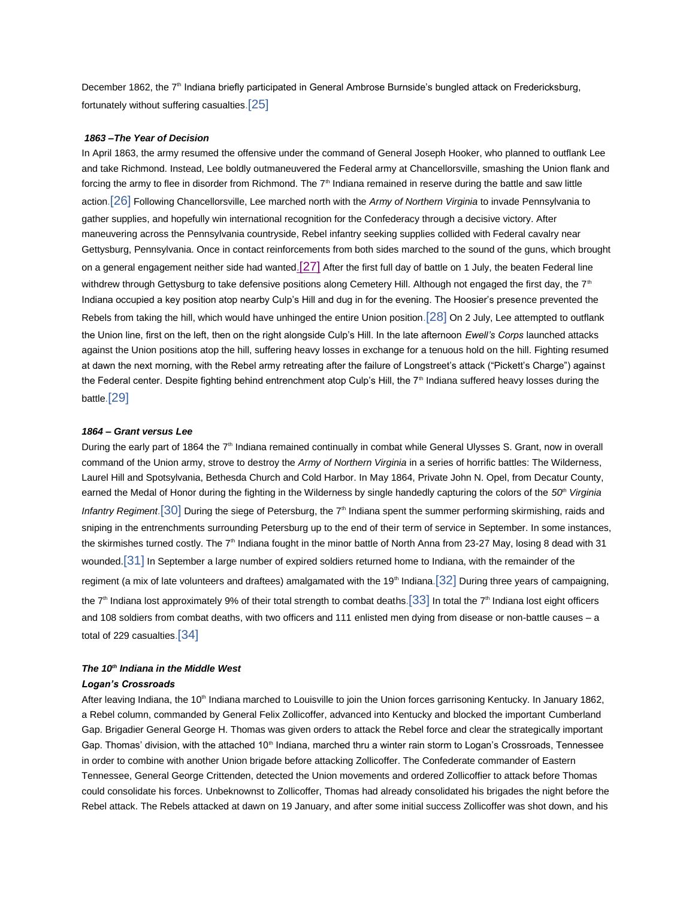December 1862, the 7<sup>th</sup> Indiana briefly participated in General Ambrose Burnside's bungled attack on Fredericksburg, fortunately without suffering casualties.[\[25\]](#page-9-2)

## *1863 –The Year of Decision*

In April 1863, the army resumed the offensive under the command of General Joseph Hooker, who planned to outflank Lee and take Richmond. Instead, Lee boldly outmaneuvered the Federal army at Chancellorsville, smashing the Union flank and forcing the army to flee in disorder from Richmond. The  $7<sup>th</sup>$  Indiana remained in reserve during the battle and saw little action.[\[26\]](#page-9-2) Following Chancellorsville, Lee marched north with the *Army of Northern Virginia* to invade Pennsylvania to gather supplies, and hopefully win international recognition for the Confederacy through a decisive victory. After maneuvering across the Pennsylvania countryside, Rebel infantry seeking supplies collided with Federal cavalry near Gettysburg, Pennsylvania. Once in contact reinforcements from both sides marched to the sound of the guns, which brought on a general engagement neither side had wanted. $[27]$  After the first full day of battle on 1 July, the beaten Federal line withdrew through Gettysburg to take defensive positions along Cemetery Hill. Although not engaged the first day, the  $7<sup>th</sup>$ Indiana occupied a key position atop nearby Culp's Hill and dug in for the evening. The Hoosier's presence prevented the Rebels from taking the hill, which would have unhinged the entire Union position.[\[28\]](#page-9-2) On 2 July, Lee attempted to outflank the Union line, first on the left, then on the right alongside Culp's Hill. In the late afternoon *Ewell's Corps* launched attacks against the Union positions atop the hill, suffering heavy losses in exchange for a tenuous hold on the hill. Fighting resumed at dawn the next morning, with the Rebel army retreating after the failure of Longstreet's attack ("Pickett's Charge") against the Federal center. Despite fighting behind entrenchment atop Culp's Hill, the 7<sup>th</sup> Indiana suffered heavy losses during the battle.[\[29\]](#page-9-2)

## *1864 – Grant versus Lee*

During the early part of 1864 the 7<sup>th</sup> Indiana remained continually in combat while General Ulysses S. Grant, now in overall command of the Union army, strove to destroy the *Army of Northern Virginia* in a series of horrific battles: The Wilderness, Laurel Hill and Spotsylvania, Bethesda Church and Cold Harbor. In May 1864, Private John N. Opel, from Decatur County, earned the Medal of Honor during the fighting in the Wilderness by single handedly capturing the colors of the *50th Virginia Infantry Regiment*.<sup>[\[30\]](#page-9-2)</sup> During the siege of Petersburg, the 7<sup>th</sup> Indiana spent the summer performing skirmishing, raids and sniping in the entrenchments surrounding Petersburg up to the end of their term of service in September. In some instances, the skirmishes turned costly. The  $7<sup>th</sup>$  Indiana fought in the minor battle of North Anna from 23-27 May, losing 8 dead with 31 wounded.<sup>[\[31\]](#page-10-0)</sup> In September a large number of expired soldiers returned home to Indiana, with the remainder of the regiment (a mix of late volunteers and draftees) amalgamated with the 19<sup>th</sup> Indiana.<sup>[\[32\]](#page-10-0)</sup> During three years of campaigning, the  $7<sup>th</sup>$  Indiana lost approximately 9% of their total strength to combat deaths. [\[33\]](#page-10-0) In total the  $7<sup>th</sup>$  Indiana lost eight officers and 108 soldiers from combat deaths, with two officers and 111 enlisted men dying from disease or non-battle causes – a total of 229 casualties.[\[34\]](#page-10-0)

# *The 10th Indiana in the Middle West*

## *Logan's Crossroads*

After leaving Indiana, the 10<sup>th</sup> Indiana marched to Louisville to join the Union forces garrisoning Kentucky. In January 1862, a Rebel column, commanded by General Felix Zollicoffer, advanced into Kentucky and blocked the important Cumberland Gap. Brigadier General George H. Thomas was given orders to attack the Rebel force and clear the strategically important Gap. Thomas' division, with the attached 10<sup>th</sup> Indiana, marched thru a winter rain storm to Logan's Crossroads, Tennessee in order to combine with another Union brigade before attacking Zollicoffer. The Confederate commander of Eastern Tennessee, General George Crittenden, detected the Union movements and ordered Zollicoffier to attack before Thomas could consolidate his forces. Unbeknownst to Zollicoffer, Thomas had already consolidated his brigades the night before the Rebel attack. The Rebels attacked at dawn on 19 January, and after some initial success Zollicoffer was shot down, and his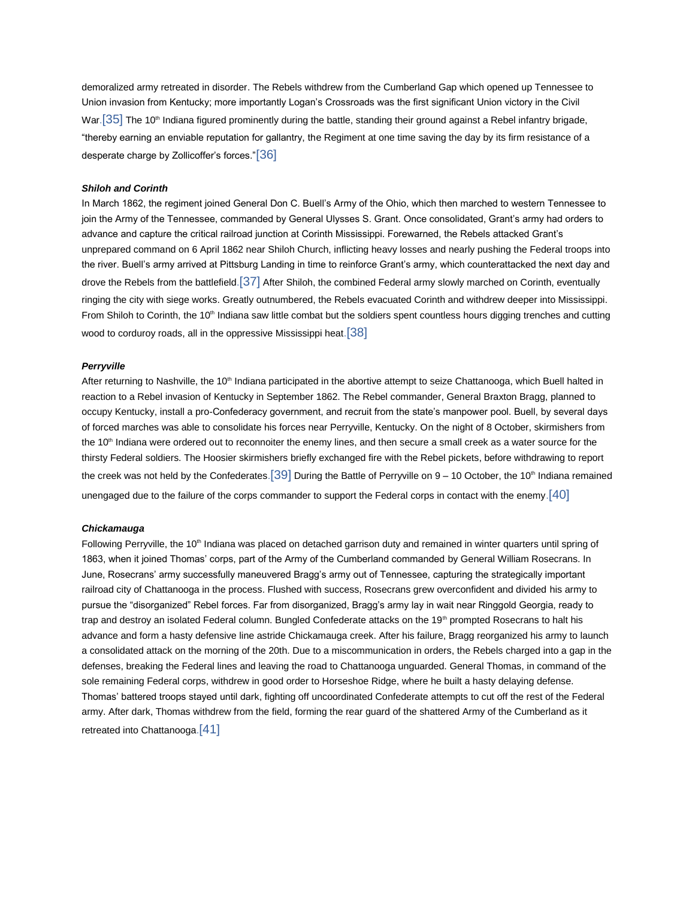demoralized army retreated in disorder. The Rebels withdrew from the Cumberland Gap which opened up Tennessee to Union invasion from Kentucky; more importantly Logan's Crossroads was the first significant Union victory in the Civil War.  $[35]$  The 10<sup>th</sup> Indiana figured prominently during the battle, standing their ground against a Rebel infantry brigade, "thereby earning an enviable reputation for gallantry, the Regiment at one time saving the day by its firm resistance of a desperate charge by Zollicoffer's forces."[\[36\]](#page-10-0)

## *Shiloh and Corinth*

In March 1862, the regiment joined General Don C. Buell's Army of the Ohio, which then marched to western Tennessee to join the Army of the Tennessee, commanded by General Ulysses S. Grant. Once consolidated, Grant's army had orders to advance and capture the critical railroad junction at Corinth Mississippi. Forewarned, the Rebels attacked Grant's unprepared command on 6 April 1862 near Shiloh Church, inflicting heavy losses and nearly pushing the Federal troops into the river. Buell's army arrived at Pittsburg Landing in time to reinforce Grant's army, which counterattacked the next day and drove the Rebels from the battlefield.[\[37\]](#page-10-0) After Shiloh, the combined Federal army slowly marched on Corinth, eventually ringing the city with siege works. Greatly outnumbered, the Rebels evacuated Corinth and withdrew deeper into Mississippi. From Shiloh to Corinth, the 10<sup>th</sup> Indiana saw little combat but the soldiers spent countless hours digging trenches and cutting wood to corduroy roads, all in the oppressive Mississippi heat.<sup>[\[38\]](#page-10-0)</sup>

## *Perryville*

After returning to Nashville, the 10<sup>th</sup> Indiana participated in the abortive attempt to seize Chattanooga, which Buell halted in reaction to a Rebel invasion of Kentucky in September 1862. The Rebel commander, General Braxton Bragg, planned to occupy Kentucky, install a pro-Confederacy government, and recruit from the state's manpower pool. Buell, by several days of forced marches was able to consolidate his forces near Perryville, Kentucky. On the night of 8 October, skirmishers from the 10<sup>th</sup> Indiana were ordered out to reconnoiter the enemy lines, and then secure a small creek as a water source for the thirsty Federal soldiers. The Hoosier skirmishers briefly exchanged fire with the Rebel pickets, before withdrawing to report the creek was not held by the Confederates.  $\left[39\right]$  During the Battle of Perryville on 9 – 10 October, the 10<sup>th</sup> Indiana remained unengaged due to the failure of the corps commander to support the Federal corps in contact with the enemy.[\[40\]](#page-10-1)

#### *Chickamauga*

Following Perryville, the 10<sup>th</sup> Indiana was placed on detached garrison duty and remained in winter quarters until spring of 1863, when it joined Thomas' corps, part of the Army of the Cumberland commanded by General William Rosecrans. In June, Rosecrans' army successfully maneuvered Bragg's army out of Tennessee, capturing the strategically important railroad city of Chattanooga in the process. Flushed with success, Rosecrans grew overconfident and divided his army to pursue the "disorganized" Rebel forces. Far from disorganized, Bragg's army lay in wait near Ringgold Georgia, ready to trap and destroy an isolated Federal column. Bungled Confederate attacks on the 19<sup>th</sup> prompted Rosecrans to halt his advance and form a hasty defensive line astride Chickamauga creek. After his failure, Bragg reorganized his army to launch a consolidated attack on the morning of the 20th. Due to a miscommunication in orders, the Rebels charged into a gap in the defenses, breaking the Federal lines and leaving the road to Chattanooga unguarded. General Thomas, in command of the sole remaining Federal corps, withdrew in good order to Horseshoe Ridge, where he built a hasty delaying defense. Thomas' battered troops stayed until dark, fighting off uncoordinated Confederate attempts to cut off the rest of the Federal army. After dark, Thomas withdrew from the field, forming the rear guard of the shattered Army of the Cumberland as it retreated into Chattanooga.[\[41\]](#page-10-1)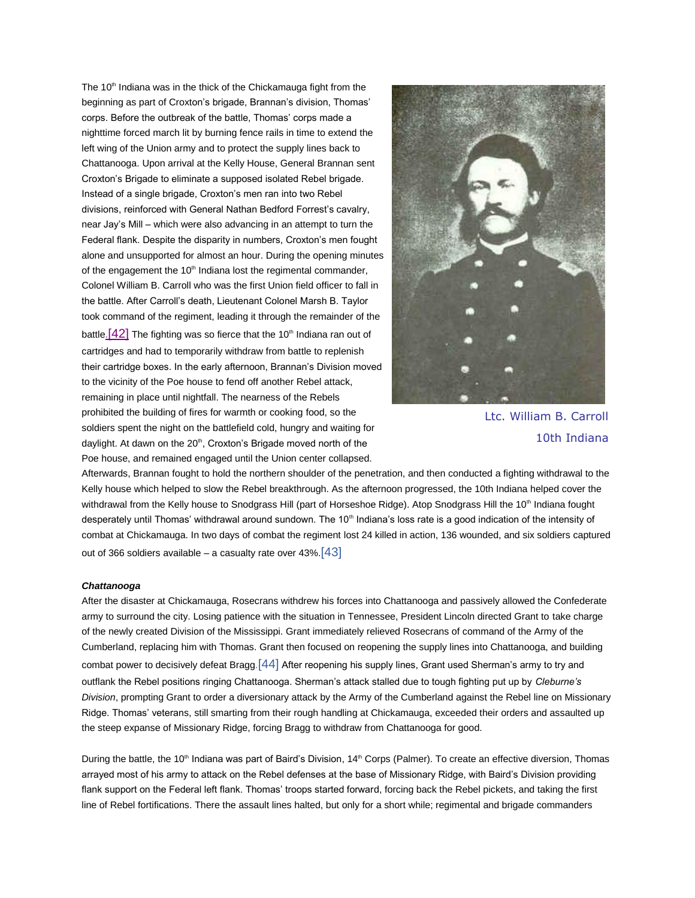The  $10<sup>th</sup>$  Indiana was in the thick of the Chickamauga fight from the beginning as part of Croxton's brigade, Brannan's division, Thomas' corps. Before the outbreak of the battle, Thomas' corps made a nighttime forced march lit by burning fence rails in time to extend the left wing of the Union army and to protect the supply lines back to Chattanooga. Upon arrival at the Kelly House, General Brannan sent Croxton's Brigade to eliminate a supposed isolated Rebel brigade. Instead of a single brigade, Croxton's men ran into two Rebel divisions, reinforced with General Nathan Bedford Forrest's cavalry, near Jay's Mill – which were also advancing in an attempt to turn the Federal flank. Despite the disparity in numbers, Croxton's men fought alone and unsupported for almost an hour. During the opening minutes of the engagement the 10<sup>th</sup> Indiana lost the regimental commander, Colonel William B. Carroll who was the first Union field officer to fall in the battle. After Carroll's death, Lieutenant Colonel Marsh B. Taylor took command of the regiment, leading it through the remainder of the battle.  $[42]$  The fighting was so fierce that the 10<sup>th</sup> Indiana ran out of cartridges and had to temporarily withdraw from battle to replenish their cartridge boxes. In the early afternoon, Brannan's Division moved to the vicinity of the Poe house to fend off another Rebel attack, remaining in place until nightfall. The nearness of the Rebels prohibited the building of fires for warmth or cooking food, so the soldiers spent the night on the battlefield cold, hungry and waiting for daylight. At dawn on the 20<sup>th</sup>, Croxton's Brigade moved north of the Poe house, and remained engaged until the Union center collapsed.



Ltc. William B. Carroll 10th Indiana

Afterwards, Brannan fought to hold the northern shoulder of the penetration, and then conducted a fighting withdrawal to the Kelly house which helped to slow the Rebel breakthrough. As the afternoon progressed, the 10th Indiana helped cover the withdrawal from the Kelly house to Snodgrass Hill (part of Horseshoe Ridge). Atop Snodgrass Hill the 10<sup>th</sup> Indiana fought desperately until Thomas' withdrawal around sundown. The 10<sup>th</sup> Indiana's loss rate is a good indication of the intensity of combat at Chickamauga. In two days of combat the regiment lost 24 killed in action, 136 wounded, and six soldiers captured out of 366 soldiers available – a casualty rate over  $43\%$  [\[43\]](#page-10-1)

## *Chattanooga*

After the disaster at Chickamauga, Rosecrans withdrew his forces into Chattanooga and passively allowed the Confederate army to surround the city. Losing patience with the situation in Tennessee, President Lincoln directed Grant to take charge of the newly created Division of the Mississippi. Grant immediately relieved Rosecrans of command of the Army of the Cumberland, replacing him with Thomas. Grant then focused on reopening the supply lines into Chattanooga, and building combat power to decisively defeat Bragg.  $[44]$  After reopening his supply lines, Grant used Sherman's army to try and outflank the Rebel positions ringing Chattanooga. Sherman's attack stalled due to tough fighting put up by *Cleburne's Division*, prompting Grant to order a diversionary attack by the Army of the Cumberland against the Rebel line on Missionary Ridge. Thomas' veterans, still smarting from their rough handling at Chickamauga, exceeded their orders and assaulted up the steep expanse of Missionary Ridge, forcing Bragg to withdraw from Chattanooga for good.

During the battle, the 10<sup>th</sup> Indiana was part of Baird's Division, 14<sup>th</sup> Corps (Palmer). To create an effective diversion, Thomas arrayed most of his army to attack on the Rebel defenses at the base of Missionary Ridge, with Baird's Division providing flank support on the Federal left flank. Thomas' troops started forward, forcing back the Rebel pickets, and taking the first line of Rebel fortifications. There the assault lines halted, but only for a short while; regimental and brigade commanders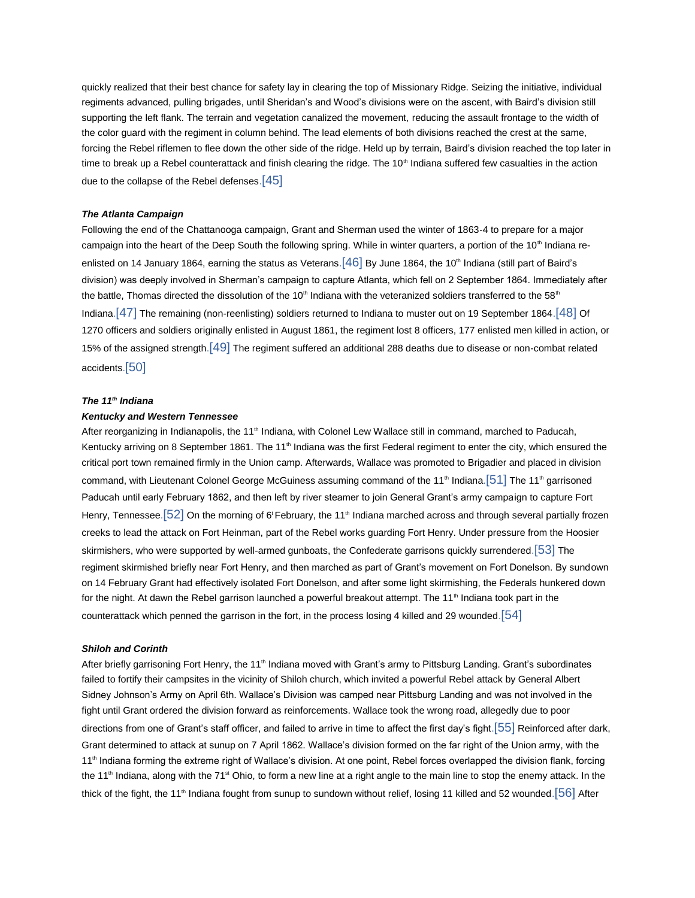quickly realized that their best chance for safety lay in clearing the top of Missionary Ridge. Seizing the initiative, individual regiments advanced, pulling brigades, until Sheridan's and Wood's divisions were on the ascent, with Baird's division still supporting the left flank. The terrain and vegetation canalized the movement, reducing the assault frontage to the width of the color guard with the regiment in column behind. The lead elements of both divisions reached the crest at the same, forcing the Rebel riflemen to flee down the other side of the ridge. Held up by terrain, Baird's division reached the top later in time to break up a Rebel counterattack and finish clearing the ridge. The  $10<sup>th</sup>$  Indiana suffered few casualties in the action due to the collapse of the Rebel defenses.[\[45\]](#page-10-1)

## *The Atlanta Campaign*

Following the end of the Chattanooga campaign, Grant and Sherman used the winter of 1863-4 to prepare for a major campaign into the heart of the Deep South the following spring. While in winter quarters, a portion of the 10<sup>th</sup> Indiana reenlisted on 14 January 1864, earning the status as Veterans.  $[46]$  By June 1864, the 10<sup>th</sup> Indiana (still part of Baird's division) was deeply involved in Sherman's campaign to capture Atlanta, which fell on 2 September 1864. Immediately after the battle, Thomas directed the dissolution of the 10<sup>th</sup> Indiana with the veteranized soldiers transferred to the 58<sup>th</sup> Indiana. [\[47\]](#page-10-1) The remaining (non-reenlisting) soldiers returned to Indiana to muster out on 19 September 1864. [\[48\]](#page-10-1) Of 1270 officers and soldiers originally enlisted in August 1861, the regiment lost 8 officers, 177 enlisted men killed in action, or 15% of the assigned strength.[\[49\]](#page-10-1) The regiment suffered an additional 288 deaths due to disease or non-combat related accidents.[\[50\]](#page-10-2)

## *The 11th Indiana*

## *Kentucky and Western Tennessee*

After reorganizing in Indianapolis, the 11<sup>th</sup> Indiana, with Colonel Lew Wallace still in command, marched to Paducah, Kentucky arriving on 8 September 1861. The 11<sup>th</sup> Indiana was the first Federal regiment to enter the city, which ensured the critical port town remained firmly in the Union camp. Afterwards, Wallace was promoted to Brigadier and placed in division command, with Lieutenant Colonel George McGuiness assuming command of the 11<sup>th</sup> Indiana.<sup>[\[51\]](#page-10-2)</sup> The 11<sup>th</sup> garrisoned Paducah until early February 1862, and then left by river steamer to join General Grant's army campaign to capture Fort Henry, Tennessee.  $[52]$  On the morning of 6'February, the 11<sup>th</sup> Indiana marched across and through several partially frozen creeks to lead the attack on Fort Heinman, part of the Rebel works guarding Fort Henry. Under pressure from the Hoosier skirmishers, who were supported by well-armed gunboats, the Confederate garrisons quickly surrendered.[\[53\]](#page-10-2) The regiment skirmished briefly near Fort Henry, and then marched as part of Grant's movement on Fort Donelson. By sundown on 14 February Grant had effectively isolated Fort Donelson, and after some light skirmishing, the Federals hunkered down for the night. At dawn the Rebel garrison launched a powerful breakout attempt. The 11<sup>th</sup> Indiana took part in the counterattack which penned the garrison in the fort, in the process losing 4 killed and 29 wounded.[\[54\]](#page-10-2)

## *Shiloh and Corinth*

After briefly garrisoning Fort Henry, the 11<sup>th</sup> Indiana moved with Grant's army to Pittsburg Landing. Grant's subordinates failed to fortify their campsites in the vicinity of Shiloh church, which invited a powerful Rebel attack by General Albert Sidney Johnson's Army on April 6th. Wallace's Division was camped near Pittsburg Landing and was not involved in the fight until Grant ordered the division forward as reinforcements. Wallace took the wrong road, allegedly due to poor directions from one of Grant's staff officer, and failed to arrive in time to affect the first day's fight.[\[55\]](#page-10-2) Reinforced after dark, Grant determined to attack at sunup on 7 April 1862. Wallace's division formed on the far right of the Union army, with the 11<sup>th</sup> Indiana forming the extreme right of Wallace's division. At one point, Rebel forces overlapped the division flank, forcing the 11<sup>th</sup> Indiana, along with the 71<sup>st</sup> Ohio, to form a new line at a right angle to the main line to stop the enemy attack. In the thick of the fight, the 11<sup>th</sup> Indiana fought from sunup to sundown without relief, losing 11 killed and 52 wounded.<sup>[\[56\]](#page-10-2)</sup> After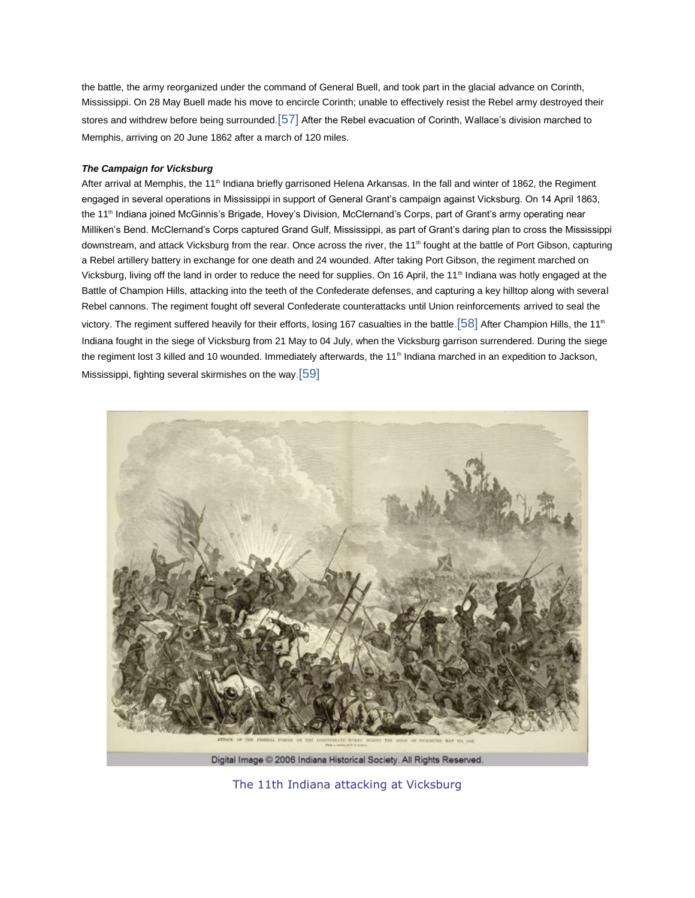the battle, the army reorganized under the command of General Buell, and took part in the glacial advance on Corinth, Mississippi. On 28 May Buell made his move to encircle Corinth; unable to effectively resist the Rebel army destroyed their stores and withdrew before being surrounded.[\[57\]](#page-10-2) After the Rebel evacuation of Corinth, Wallace's division marched to Memphis, arriving on 20 June 1862 after a march of 120 miles.

## *The Campaign for Vicksburg*

After arrival at Memphis, the 11<sup>th</sup> Indiana briefly garrisoned Helena Arkansas. In the fall and winter of 1862, the Regiment engaged in several operations in Mississippi in support of General Grant's campaign against Vicksburg. On 14 April 1863, the 11<sup>th</sup> Indiana joined McGinnis's Brigade, Hovey's Division, McClernand's Corps, part of Grant's army operating near Milliken's Bend. McClernand's Corps captured Grand Gulf, Mississippi, as part of Grant's daring plan to cross the Mississippi downstream, and attack Vicksburg from the rear. Once across the river, the 11<sup>th</sup> fought at the battle of Port Gibson, capturing a Rebel artillery battery in exchange for one death and 24 wounded. After taking Port Gibson, the regiment marched on Vicksburg, living off the land in order to reduce the need for supplies. On 16 April, the 11<sup>th</sup> Indiana was hotly engaged at the Battle of Champion Hills, attacking into the teeth of the Confederate defenses, and capturing a key hilltop along with several Rebel cannons. The regiment fought off several Confederate counterattacks until Union reinforcements arrived to seal the victory. The regiment suffered heavily for their efforts, losing 167 casualties in the battle. [\[58\]](#page-10-2) After Champion Hills, the 11<sup>th</sup> Indiana fought in the siege of Vicksburg from 21 May to 04 July, when the Vicksburg garrison surrendered. During the siege the regiment lost 3 killed and 10 wounded. Immediately afterwards, the 11<sup>th</sup> Indiana marched in an expedition to Jackson, Mississippi, fighting several skirmishes on the way.<sup>[\[59\]](#page-10-2)</sup>



The 11th Indiana attacking at Vicksburg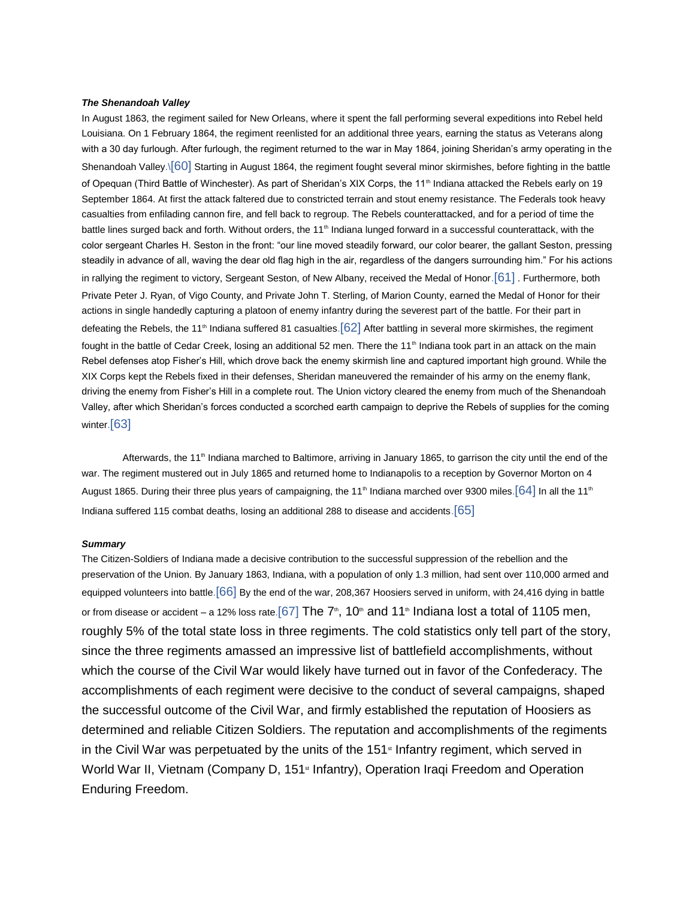## *The Shenandoah Valley*

In August 1863, the regiment sailed for New Orleans, where it spent the fall performing several expeditions into Rebel held Louisiana. On 1 February 1864, the regiment reenlisted for an additional three years, earning the status as Veterans along with a 30 day furlough. After furlough, the regiment returned to the war in May 1864, joining Sheridan's army operating in the Shenandoah Valley.\[\[60\]](#page-10-2) Starting in August 1864, the regiment fought several minor skirmishes, before fighting in the battle of Opequan (Third Battle of Winchester). As part of Sheridan's XIX Corps, the 11<sup>th</sup> Indiana attacked the Rebels early on 19 September 1864. At first the attack faltered due to constricted terrain and stout enemy resistance. The Federals took heavy casualties from enfilading cannon fire, and fell back to regroup. The Rebels counterattacked, and for a period of time the battle lines surged back and forth. Without orders, the 11<sup>th</sup> Indiana lunged forward in a successful counterattack, with the color sergeant Charles H. Seston in the front: "our line moved steadily forward, our color bearer, the gallant Seston, pressing steadily in advance of all, waving the dear old flag high in the air, regardless of the dangers surrounding him." For his actions in rallying the regiment to victory, Sergeant Seston, of New Albany, received the Medal of Honor.[\[61\]](#page-10-2) . Furthermore, both Private Peter J. Ryan, of Vigo County, and Private John T. Sterling, of Marion County, earned the Medal of Honor for their actions in single handedly capturing a platoon of enemy infantry during the severest part of the battle. For their part in defeating the Rebels, the 11<sup>th</sup> Indiana suffered 81 casualties.  $62$  After battling in several more skirmishes, the regiment fought in the battle of Cedar Creek, losing an additional 52 men. There the 11<sup>th</sup> Indiana took part in an attack on the main Rebel defenses atop Fisher's Hill, which drove back the enemy skirmish line and captured important high ground. While the XIX Corps kept the Rebels fixed in their defenses, Sheridan maneuvered the remainder of his army on the enemy flank, driving the enemy from Fisher's Hill in a complete rout. The Union victory cleared the enemy from much of the Shenandoah Valley, after which Sheridan's forces conducted a scorched earth campaign to deprive the Rebels of supplies for the coming winter.<sup>[\[63\]](#page-11-0)</sup>

Afterwards, the 11<sup>th</sup> Indiana marched to Baltimore, arriving in January 1865, to garrison the city until the end of the war. The regiment mustered out in July 1865 and returned home to Indianapolis to a reception by Governor Morton on 4 August 1865. During their three plus years of campaigning, the 11<sup>th</sup> Indiana marched over 9300 miles. [\[64\]](#page-11-0) In all the 11<sup>th</sup> Indiana suffered 115 combat deaths, losing an additional 288 to disease and accidents.[\[65\]](#page-11-0)

#### *Summary*

The Citizen-Soldiers of Indiana made a decisive contribution to the successful suppression of the rebellion and the preservation of the Union. By January 1863, Indiana, with a population of only 1.3 million, had sent over 110,000 armed and equipped volunteers into battle.[\[66\]](#page-11-0) By the end of the war, 208,367 Hoosiers served in uniform, with 24,416 dying in battle or from disease or accident – a 12% loss rate. [\[67\]](#page-11-0) The  $7<sup>th</sup>$ , 10<sup>th</sup> and 11<sup>th</sup> Indiana lost a total of 1105 men, roughly 5% of the total state loss in three regiments. The cold statistics only tell part of the story, since the three regiments amassed an impressive list of battlefield accomplishments, without which the course of the Civil War would likely have turned out in favor of the Confederacy. The accomplishments of each regiment were decisive to the conduct of several campaigns, shaped the successful outcome of the Civil War, and firmly established the reputation of Hoosiers as determined and reliable Citizen Soldiers. The reputation and accomplishments of the regiments in the Civil War was perpetuated by the units of the  $151<sup>*</sup>$  Infantry regiment, which served in World War II, Vietnam (Company D, 151<sup>st</sup> Infantry), Operation Iraqi Freedom and Operation Enduring Freedom.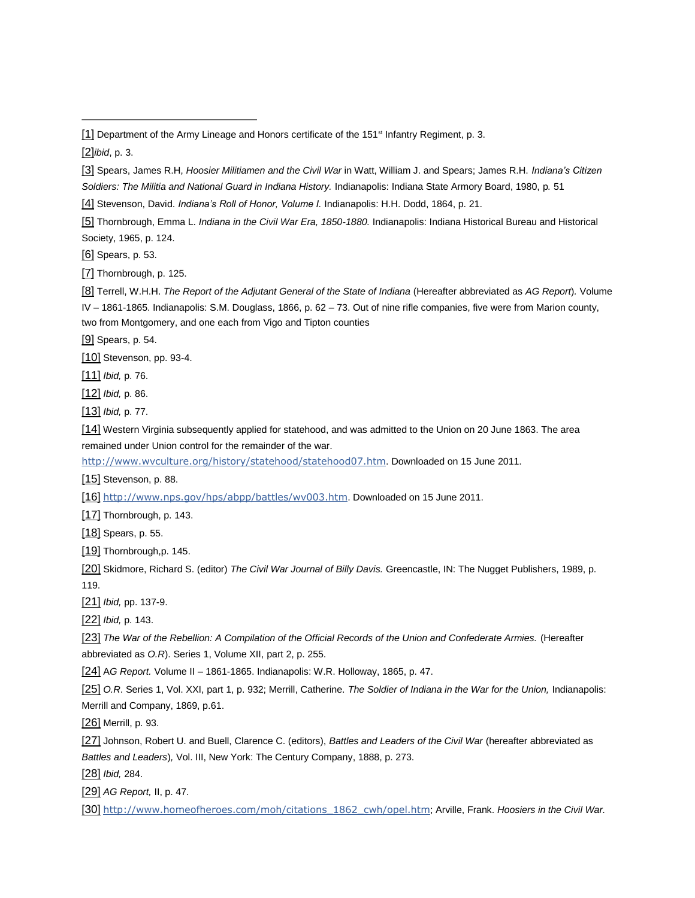[2]*ibid*, p. 3.

- [3] Spears, James R.H, *Hoosier Militiamen and the Civil War* in Watt, William J. and Spears; James R.H. *Indiana's Citizen*
- *Soldiers: The Militia and National Guard in Indiana History.* Indianapolis: Indiana State Armory Board, 1980, p*.* 51

[5] Thornbrough, Emma L. *Indiana in the Civil War Era, 1850-1880.* Indianapolis: Indiana Historical Bureau and Historical Society, 1965, p. 124.

[6] Spears, p. 53.

[7] Thornbrough, p. 125.

[8] Terrell, W.H.H. *The Report of the Adjutant General of the State of Indiana* (Hereafter abbreviated as *AG Report*)*.* Volume

IV – 1861-1865. Indianapolis: S.M. Douglass, 1866, p. 62 – 73. Out of nine rifle companies, five were from Marion county, two from Montgomery, and one each from Vigo and Tipton counties

[9] Spears, p. 54.

<span id="page-9-1"></span>[10] Stevenson, pp. 93-4.

[11] *Ibid,* p. 76.

[12] *Ibid,* p. 86.

[13] *Ibid,* p. 77.

[14] Western Virginia subsequently applied for statehood, and was admitted to the Union on 20 June 1863. The area remained under Union control for the remainder of the war.

<http://www.wvculture.org/history/statehood/statehood07.htm>. Downloaded on 15 June 2011.

[15] Stevenson, p. 88.

[16] <http://www.nps.gov/hps/abpp/battles/wv003.htm>. Downloaded on 15 June 2011.

[17] Thornbrough, p. 143.

[18] Spears, p. 55.

[19] Thornbrough,p. 145.

<span id="page-9-2"></span>[20] Skidmore, Richard S. (editor) *The Civil War Journal of Billy Davis.* Greencastle, IN: The Nugget Publishers, 1989, p. 119.

[21] *Ibid,* pp. 137-9.

[22] *Ibid,* p. 143.

[23] The War of the Rebellion: A Compilation of the Official Records of the Union and Confederate Armies. (Hereafter abbreviated as *O.R*). Series 1, Volume XII, part 2, p. 255.

[24] A*G Report.* Volume II – 1861-1865. Indianapolis: W.R. Holloway, 1865, p. 47.

[25] *O.R*. Series 1, Vol. XXI, part 1, p. 932; Merrill, Catherine. *The Soldier of Indiana in the War for the Union,* Indianapolis: Merrill and Company, 1869, p.61.

[26] Merrill, p. 93.

[27] Johnson, Robert U. and Buell, Clarence C. (editors), *Battles and Leaders of the Civil War* (hereafter abbreviated as *Battles and Leaders*)*,* Vol. III, New York: The Century Company, 1888, p. 273.

[28] *Ibid,* 284.

[29] *AG Report,* II, p. 47.

[30] [http://www.homeofheroes.com/moh/citations\\_1862\\_cwh/opel.htm](http://www.homeofheroes.com/moh/citations_1862_cwh/opel.htm); Arville, Frank. *Hoosiers in the Civil War.* 

<span id="page-9-0"></span><sup>[1]</sup> Department of the Army Lineage and Honors certificate of the 151<sup>st</sup> Infantry Regiment, p. 3.

<sup>[4]</sup> Stevenson, David. *Indiana's Roll of Honor, Volume I.* Indianapolis: H.H. Dodd, 1864, p. 21.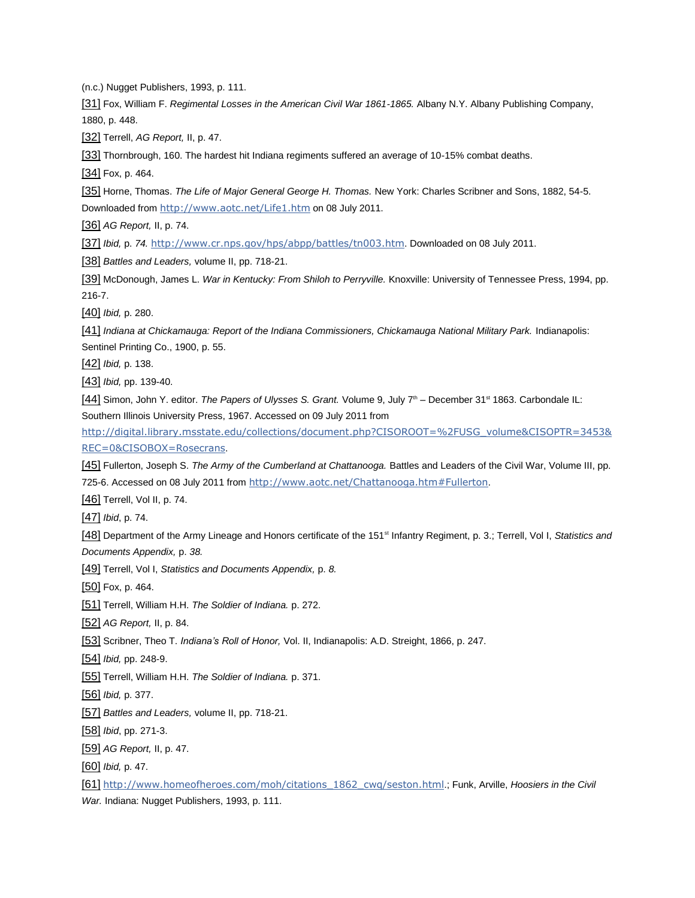(n.c.) Nugget Publishers, 1993, p. 111.

<span id="page-10-0"></span>[31] Fox, William F. *Regimental Losses in the American Civil War 1861-1865.* Albany N.Y. Albany Publishing Company, 1880, p. 448.

[32] Terrell, *AG Report,* II, p. 47.

[33] Thornbrough, 160. The hardest hit Indiana regiments suffered an average of 10-15% combat deaths.

[34] Fox, p. 464.

[35] Horne, Thomas. *The Life of Major General George H. Thomas.* New York: Charles Scribner and Sons, 1882, 54-5. Downloaded from <http://www.aotc.net/Life1.htm> on 08 July 2011.

[36] *AG Report,* II, p. 74.

[37] *Ibid,* p. *74.* <http://www.cr.nps.gov/hps/abpp/battles/tn003.htm>. Downloaded on 08 July 2011.

[38] *Battles and Leaders,* volume II, pp. 718-21.

[39] McDonough, James L. *War in Kentucky: From Shiloh to Perryville.* Knoxville: University of Tennessee Press, 1994, pp. 216-7.

<span id="page-10-1"></span>[40] *Ibid,* p. 280.

[41] Indiana at Chickamauga: Report of the Indiana Commissioners, Chickamauga National Military Park. Indianapolis: Sentinel Printing Co., 1900, p. 55.

[42] *Ibid,* p. 138.

[43] *Ibid,* pp. 139-40.

[44] Simon, John Y. editor. *The Papers of Ulysses S. Grant.* Volume 9, July 7<sup>th</sup> – December 31<sup>st</sup> 1863. Carbondale IL: Southern Illinois University Press, 1967. Accessed on 09 July 2011 from

[http://digital.library.msstate.edu/collections/document.php?CISOROOT=%2FUSG\\_volume&CISOPTR=3453&](http://digital.library.msstate.edu/collections/document.php?CISOROOT=%2FUSG_volume&CISOPTR=3453&REC=0&CISOBOX=Rosecrans) [REC=0&CISOBOX=Rosecrans](http://digital.library.msstate.edu/collections/document.php?CISOROOT=%2FUSG_volume&CISOPTR=3453&REC=0&CISOBOX=Rosecrans).

[45] Fullerton, Joseph S. *The Army of the Cumberland at Chattanooga.* Battles and Leaders of the Civil War, Volume III, pp. 725-6. Accessed on 08 July 2011 from <http://www.aotc.net/Chattanooga.htm#Fullerton>.

[46] Terrell, Vol II, p. 74.

[47] *Ibid*, p. 74.

[48] Department of the Army Lineage and Honors certificate of the 151<sup>st</sup> Infantry Regiment, p. 3.; Terrell, Vol I, Statistics and *Documents Appendix,* p. *38.* 

[49] Terrell, Vol I, *Statistics and Documents Appendix,* p. *8.* 

<span id="page-10-2"></span>[50] Fox, p. 464.

[51] Terrell, William H.H. *The Soldier of Indiana.* p. 272.

[52] *AG Report,* II, p. 84.

[53] Scribner, Theo T. *Indiana's Roll of Honor,* Vol. II, Indianapolis: A.D. Streight, 1866, p. 247.

[54] *Ibid,* pp. 248-9.

[55] Terrell, William H.H. *The Soldier of Indiana.* p. 371.

[56] *Ibid,* p. 377.

[57] *Battles and Leaders,* volume II, pp. 718-21.

[58] *Ibid*, pp. 271-3.

[59] *AG Report,* II, p. 47.

[60] *Ibid,* p. 47.

[61] [http://www.homeofheroes.com/moh/citations\\_1862\\_cwq/seston.html](http://www.homeofheroes.com/moh/citations_1862_cwq/seston.html).; Funk, Arville, *Hoosiers in the Civil War.* Indiana: Nugget Publishers, 1993, p. 111.